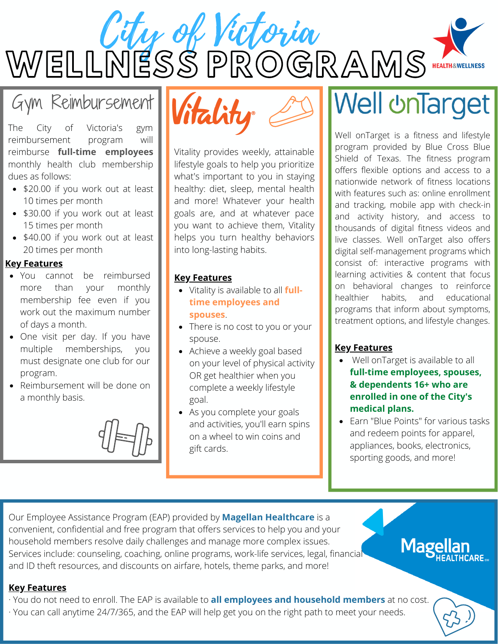City of Victoria WELLNESS PROGRAMS<sup>.</sup>

### Gym Reimbursement

The City of Victoria's gym reimbursement program will reimburse **full-time employees** monthly health club membership dues as follows:

- \$20.00 if you work out at least 10 times per month
- \$30.00 if you work out at least 15 times per month
- \$40.00 if you work out at least 20 times per month

#### **Key Features**

- You cannot be reimbursed more than your monthly membership fee even if you work out the maximum number of days a month.
- One visit per day. If you have multiple memberships, you must designate one club for our program.
- Reimbursement will be done on a monthly basis.





Vitality provides weekly, attainable lifestyle goals to help you prioritize what's important to you in staying healthy: diet, sleep, mental health and more! Whatever your health goals are, and at whatever pace you want to achieve them, Vitality helps you turn healthy behaviors into long-lasting habits.

#### **Key Features**

- Vitality is available to all **fulltime employees and spouses**.
- There is no cost to you or your spouse.
- Achieve a weekly goal based on your level of physical activity OR get healthier when you complete a weekly lifestyle goal.
- As you complete your goals and activities, you'll earn spins on a wheel to win coins and gift cards.

# **Well UnTarget**

Well onTarget is a fitness and lifestyle program provided by Blue Cross Blue Shield of Texas. The fitness program offers flexible options and access to a nationwide network of fitness locations with features such as: online enrollment and tracking, mobile app with check-in and activity history, and access to thousands of digital fitness videos and live classes. Well onTarget also offers digital self-management programs which consist of: interactive programs with learning activities & content that focus on behavioral changes to reinforce healthier habits, and educational programs that inform about symptoms, treatment options, and lifestyle changes.

#### **Key Features**

- Well onTarget is available to all **full-time employees, spouses, & dependents 16+ who are enrolled in one of the City's medical plans.**
- Earn "Blue Points" for various tasks and redeem points for apparel, appliances, books, electronics, sporting goods, and more!

**Magel** 

Our Employee Assistance Program (EAP) provided by **Magellan Healthcare** is a convenient, confidential and free program that offers services to help you and your household members resolve daily challenges and manage more complex issues. Services include: counseling, coaching, online programs, work-life services, legal, financial and ID theft resources, and discounts on airfare, hotels, theme parks, and more!

#### **Key Features**

- · You do not need to enroll. The EAP is available to **all employees and household members** at no cost.
- · You can call anytime 24/7/365, and the EAP will help get you on the right path to meet your needs.